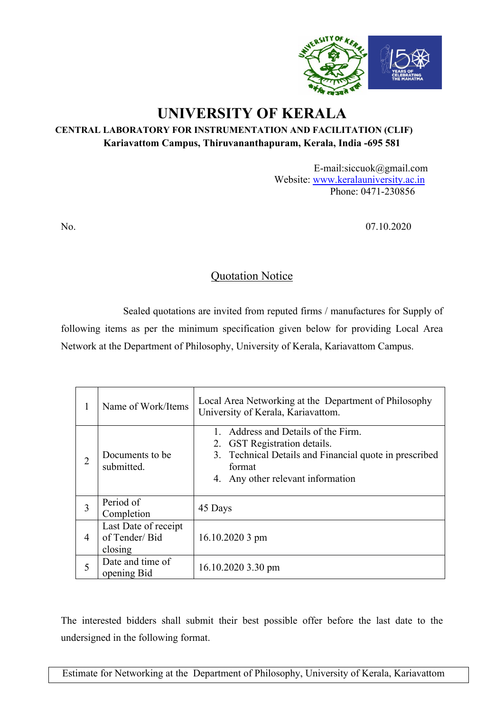

# **UNIVERSITY OF KERALA**

### **CENTRAL LABORATORY FOR INSTRUMENTATION AND FACILITATION (CLIF) Kariavattom Campus, Thiruvananthapuram, Kerala, India -695 581**

E-mail:siccuok@gmail.com Website: www.keralauniversity.ac.in Phone: 0471-230856

No. 07.10.2020

## Quotation Notice

Sealed quotations are invited from reputed firms / manufactures for Supply of following items as per the minimum specification given below for providing Local Area Network at the Department of Philosophy, University of Kerala, Kariavattom Campus.

| 1              | Name of Work/Items                               | Local Area Networking at the Department of Philosophy<br>University of Kerala, Kariavattom.                                                                               |  |  |  |  |  |
|----------------|--------------------------------------------------|---------------------------------------------------------------------------------------------------------------------------------------------------------------------------|--|--|--|--|--|
| $\overline{2}$ | Documents to be.<br>submitted.                   | Address and Details of the Firm.<br>2. GST Registration details.<br>3. Technical Details and Financial quote in prescribed<br>format<br>4. Any other relevant information |  |  |  |  |  |
| 3              | Period of<br>Completion                          | 45 Days                                                                                                                                                                   |  |  |  |  |  |
| $\overline{4}$ | Last Date of receipt<br>of Tender/Bid<br>closing | $16.10.20203$ pm                                                                                                                                                          |  |  |  |  |  |
| 5              | Date and time of<br>opening Bid                  | 16.10.2020 3.30 pm                                                                                                                                                        |  |  |  |  |  |

The interested bidders shall submit their best possible offer before the last date to the undersigned in the following format.

Estimate for Networking at the Department of Philosophy, University of Kerala, Kariavattom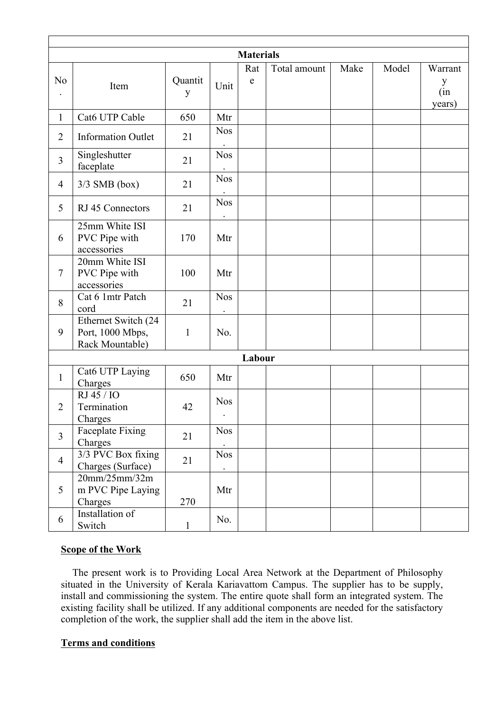|                |                                                            |                         |                         | <b>Materials</b> |              |      |       |                               |
|----------------|------------------------------------------------------------|-------------------------|-------------------------|------------------|--------------|------|-------|-------------------------------|
| N <sub>0</sub> | Item                                                       | Quantit<br>$\mathbf{y}$ | Unit                    | Rat<br>${\bf e}$ | Total amount | Make | Model | Warrant<br>y<br>(in<br>years) |
| $\mathbf{1}$   | Cat6 UTP Cable                                             | 650                     | Mtr                     |                  |              |      |       |                               |
| $\overline{2}$ | <b>Information Outlet</b>                                  | 21                      | <b>Nos</b>              |                  |              |      |       |                               |
| $\overline{3}$ | Singleshutter<br>faceplate                                 | 21                      | <b>Nos</b>              |                  |              |      |       |                               |
| $\overline{4}$ | $3/3$ SMB (box)                                            | 21                      | <b>Nos</b>              |                  |              |      |       |                               |
| $\overline{5}$ | RJ 45 Connectors                                           | 21                      | <b>Nos</b>              |                  |              |      |       |                               |
| 6              | 25mm White ISI<br>PVC Pipe with<br>accessories             | 170                     | Mtr                     |                  |              |      |       |                               |
| $\tau$         | 20mm White ISI<br>PVC Pipe with<br>accessories             | 100                     | Mtr                     |                  |              |      |       |                               |
| 8              | Cat 6 1mtr Patch<br>cord                                   | 21                      | <b>Nos</b>              |                  |              |      |       |                               |
| 9              | Ethernet Switch (24<br>Port, 1000 Mbps,<br>Rack Mountable) | $\mathbf{1}$            | No.                     |                  |              |      |       |                               |
|                |                                                            |                         |                         | Labour           |              |      |       |                               |
| $\mathbf{1}$   | Cat6 UTP Laying<br>Charges                                 | 650                     | Mtr                     |                  |              |      |       |                               |
| $\overline{2}$ | RJ 45 / IO<br>Termination<br>Charges                       | 42                      | <b>Nos</b><br>$\bullet$ |                  |              |      |       |                               |
| $\overline{3}$ | Faceplate Fixing<br>Charges                                | 21                      | <b>Nos</b>              |                  |              |      |       |                               |
| $\overline{4}$ | 3/3 PVC Box fixing<br>Charges (Surface)                    | 21                      | <b>Nos</b>              |                  |              |      |       |                               |
| 5              | 20mm/25mm/32m<br>m PVC Pipe Laying<br>Charges              | 270                     | Mtr                     |                  |              |      |       |                               |
| 6              | Installation of<br>Switch                                  | $\mathbf{1}$            | No.                     |                  |              |      |       |                               |

#### **Scope of the Work**

 The present work is to Providing Local Area Network at the Department of Philosophy situated in the University of Kerala Kariavattom Campus. The supplier has to be supply, install and commissioning the system. The entire quote shall form an integrated system. The existing facility shall be utilized. If any additional components are needed for the satisfactory completion of the work, the supplier shall add the item in the above list.

### **Terms and conditions**